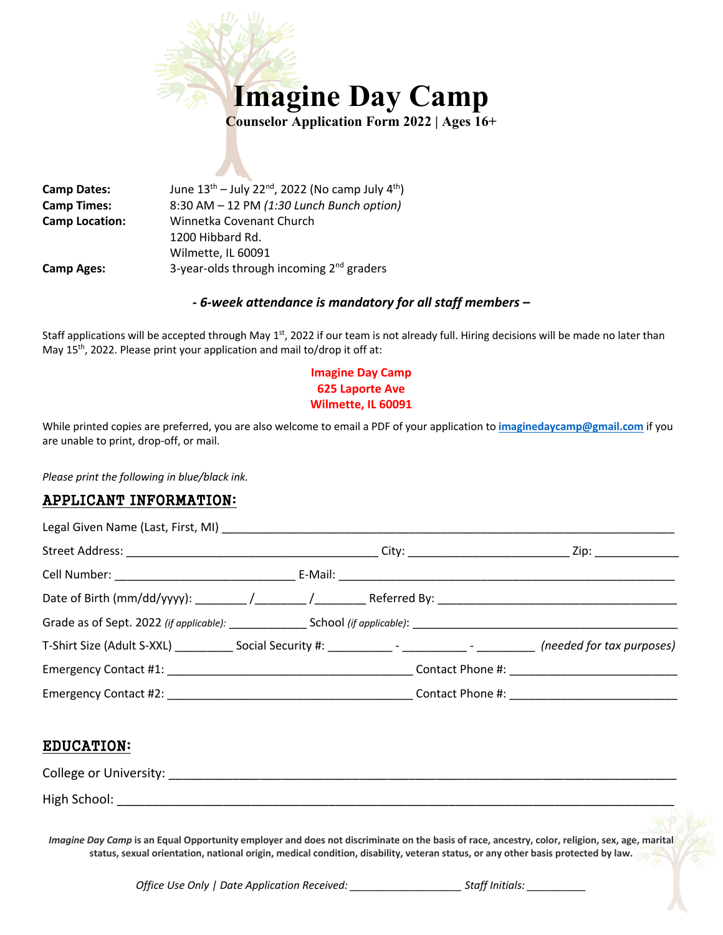

**Camp Dates:** June  $13^{th}$  – July 22<sup>nd</sup>, 2022 (No camp July  $4^{th}$ ) **Camp Times:** 8:30 AM – 12 PM *(1:30 Lunch Bunch option)* **Camp Location:** Winnetka Covenant Church 1200 Hibbard Rd. Wilmette, IL 60091 **Camp Ages:** 3-year-olds through incoming 2<sup>nd</sup> graders

## *- 6-week attendance is mandatory for all staff members –*

Staff applications will be accepted through May  $1<sup>st</sup>$ , 2022 if our team is not already full. Hiring decisions will be made no later than May 15<sup>th</sup>, 2022. Please print your application and mail to/drop it off at:

## **Imagine Day Camp 625 Laporte Ave Wilmette, IL 60091**

While printed copies are preferred, you are also welcome to email a PDF of your application to **imaginedaycamp@gmail.com** if you are unable to print, drop-off, or mail.

*Please print the following in blue/black ink.*

# APPLICANT INFORMATION:

|  |  | _ Zip: ________________         |
|--|--|---------------------------------|
|  |  |                                 |
|  |  |                                 |
|  |  |                                 |
|  |  |                                 |
|  |  |                                 |
|  |  | Contact Phone #: ______________ |

# EDUCATION:

| College or University: _ |  |
|--------------------------|--|
| High School:             |  |

*Imagine Day Camp* **is an Equal Opportunity employer and does not discriminate on the basis of race, ancestry, color, religion, sex, age, marital status, sexual orientation, national origin, medical condition, disability, veteran status, or any other basis protected by law.**

*Office Use Only | Date Application Received: Staff Initials: Staff Initials:*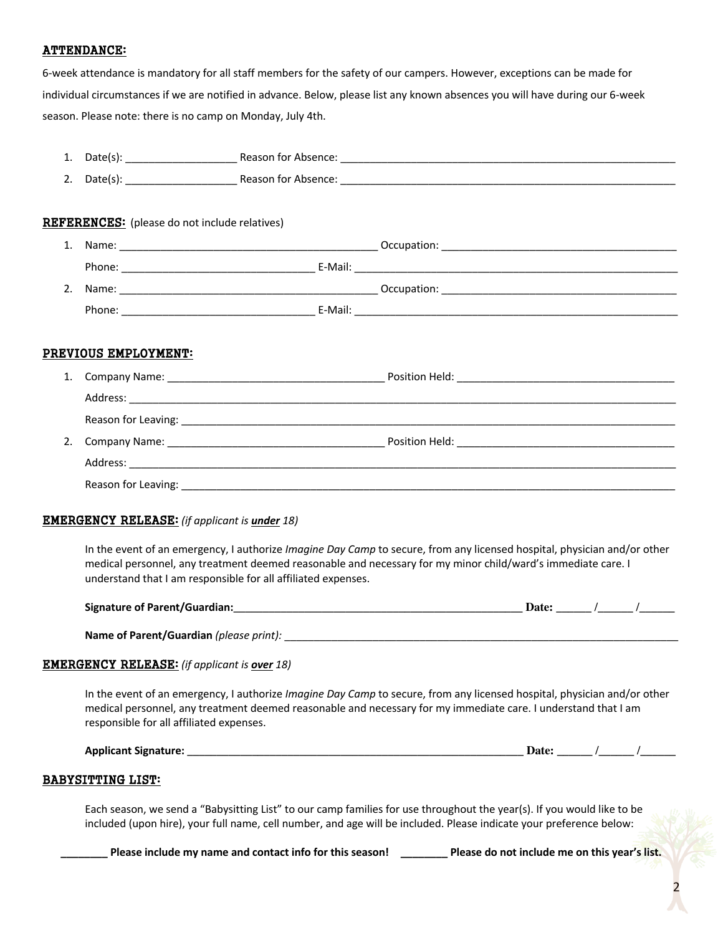### ATTENDANCE:

6-week attendance is mandatory for all staff members for the safety of our campers. However, exceptions can be made for individual circumstances if we are notified in advance. Below, please list any known absences you will have during our 6-week season. Please note: there is no camp on Monday, July 4th.

| 1. | Date(s): | Reason for Absence: |
|----|----------|---------------------|
| 2. | Date(s): | Reason for Absence: |

#### REFERENCES: (please do not include relatives)

| 1. | Name:  |         | Occupation: |
|----|--------|---------|-------------|
|    | Phone: | E-Mail: |             |
| 2. | Name:  |         | Occupation: |
|    | Phone: | E-Mail: |             |

## PREVIOUS EMPLOYMENT:

| 1. |                                                                                |  |
|----|--------------------------------------------------------------------------------|--|
|    |                                                                                |  |
|    |                                                                                |  |
| 2. |                                                                                |  |
|    |                                                                                |  |
|    | Reason for Leaving:<br><u> 1980 - Jan Barbara, martxa al II-lea (h. 1980).</u> |  |

#### EMERGENCY RELEASE: *(if applicant is under 18)*

In the event of an emergency, I authorize *Imagine Day Camp* to secure, from any licensed hospital, physician and/or other medical personnel, any treatment deemed reasonable and necessary for my minor child/ward's immediate care. I understand that I am responsible for all affiliated expenses.

| Signature of Parent/Guardian: |  |  |  |
|-------------------------------|--|--|--|
|                               |  |  |  |

**Name of Parent/Guardian** *(please print):* \_\_\_\_\_\_\_\_\_\_\_\_\_\_\_\_\_\_\_\_\_\_\_\_\_\_\_\_\_\_\_\_\_\_\_\_\_\_\_\_\_\_\_\_\_\_\_\_\_\_\_\_\_\_\_\_\_\_\_\_\_\_\_\_\_\_\_

#### EMERGENCY RELEASE: *(if applicant is over 18)*

In the event of an emergency, I authorize *Imagine Day Camp* to secure, from any licensed hospital, physician and/or other medical personnel, any treatment deemed reasonable and necessary for my immediate care. I understand that I am responsible for all affiliated expenses.

| signature:<br>Applicant | <b>-01</b> |  |
|-------------------------|------------|--|
|-------------------------|------------|--|

#### BABYSITTING LIST:

Each season, we send a "Babysitting List" to our camp families for use throughout the year(s). If you would like to be included (upon hire), your full name, cell number, and age will be included. Please indicate your preference below:

Please include my name and contact info for this season! \_\_\_\_\_\_\_\_\_\_ Please do not include me on this year's list.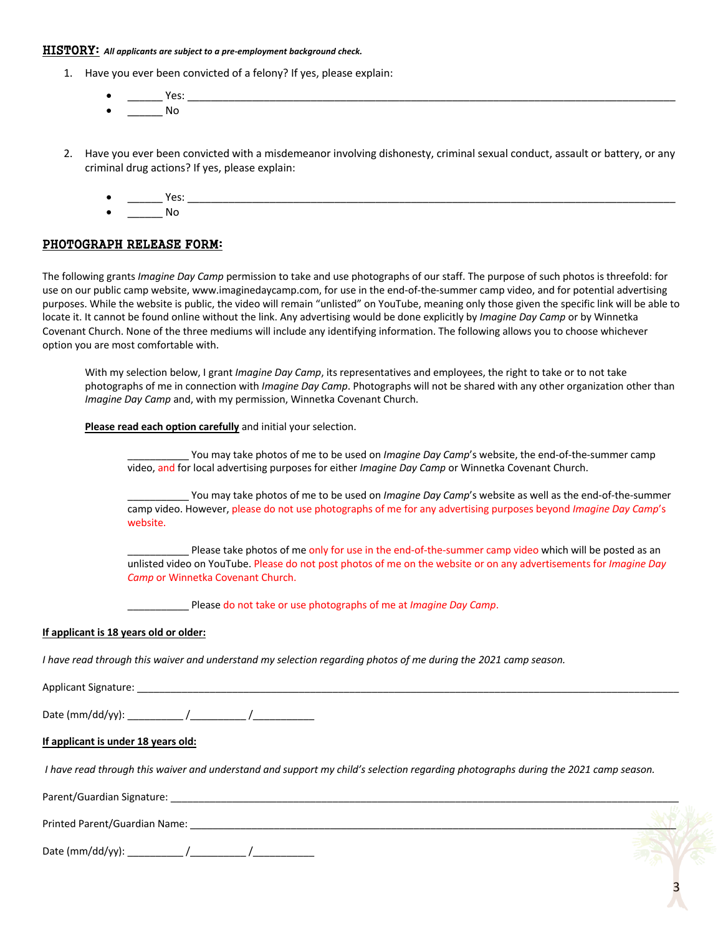#### HISTORY: *All applicants are subject to a pre-employment background check.*

- 1. Have you ever been convicted of a felony? If yes, please explain:
	- \_\_\_\_\_\_ Yes: \_\_\_\_\_\_\_\_\_\_\_\_\_\_\_\_\_\_\_\_\_\_\_\_\_\_\_\_\_\_\_\_\_\_\_\_\_\_\_\_\_\_\_\_\_\_\_\_\_\_\_\_\_\_\_\_\_\_\_\_\_\_\_\_\_\_\_\_\_\_\_\_\_\_\_\_\_\_\_\_\_\_\_  $\blacksquare$
- 2. Have you ever been convicted with a misdemeanor involving dishonesty, criminal sexual conduct, assault or battery, or any criminal drug actions? If yes, please explain:
	- \_\_\_\_\_\_ Yes: \_\_\_\_\_\_\_\_\_\_\_\_\_\_\_\_\_\_\_\_\_\_\_\_\_\_\_\_\_\_\_\_\_\_\_\_\_\_\_\_\_\_\_\_\_\_\_\_\_\_\_\_\_\_\_\_\_\_\_\_\_\_\_\_\_\_\_\_\_\_\_\_\_\_\_\_\_\_\_\_\_\_\_

• \_\_\_\_\_\_ No

#### PHOTOGRAPH RELEASE FORM:

The following grants *Imagine Day Camp* permission to take and use photographs of our staff. The purpose of such photos is threefold: for use on our public camp website, www.imaginedaycamp.com, for use in the end-of-the-summer camp video, and for potential advertising purposes. While the website is public, the video will remain "unlisted" on YouTube, meaning only those given the specific link will be able to locate it. It cannot be found online without the link. Any advertising would be done explicitly by *Imagine Day Camp* or by Winnetka Covenant Church. None of the three mediums will include any identifying information. The following allows you to choose whichever option you are most comfortable with.

With my selection below, I grant *Imagine Day Camp*, its representatives and employees, the right to take or to not take photographs of me in connection with *Imagine Day Camp*. Photographs will not be shared with any other organization other than *Imagine Day Camp* and, with my permission, Winnetka Covenant Church.

#### **Please read each option carefully** and initial your selection.

You may take photos of me to be used on *Imagine Day Camp's* website, the end-of-the-summer camp video, and for local advertising purposes for either *Imagine Day Camp* or Winnetka Covenant Church.

You may take photos of me to be used on *Imagine Day Camp'*s website as well as the end-of-the-summer camp video. However, please do not use photographs of me for any advertising purposes beyond *Imagine Day Camp*'s website.

Please take photos of me only for use in the end-of-the-summer camp video which will be posted as an unlisted video on YouTube. Please do not post photos of me on the website or on any advertisements for *Imagine Day Camp* or Winnetka Covenant Church.

\_\_\_\_\_\_\_\_\_\_\_ Please do not take or use photographs of me at *Imagine Day Camp*.

#### **If applicant is 18 years old or older:**

*I have read through this waiver and understand my selection regarding photos of me during the 2021 camp season.*

Applicant Signature: \_\_\_\_\_\_\_\_\_\_\_\_\_\_\_\_\_\_\_\_\_\_\_\_\_\_\_\_\_\_\_\_\_\_\_\_\_\_\_\_\_\_\_\_\_\_\_\_\_\_\_\_\_\_\_\_\_\_\_\_\_\_\_\_\_\_\_\_\_\_\_\_\_\_\_\_\_\_\_\_\_\_\_\_\_\_\_\_\_\_\_\_\_\_\_\_\_

Date (mm/dd/yy): \_\_\_\_\_\_\_\_\_\_ /\_\_\_\_\_\_\_\_\_\_ /\_\_\_\_\_\_\_\_\_\_\_

#### **If applicant is under 18 years old:**

*I have read through this waiver and understand and support my child's selection regarding photographs during the 2021 camp season.*

Parent/Guardian Signature: \_\_\_\_\_\_\_\_\_\_\_\_\_\_\_\_\_\_\_\_\_\_\_\_\_\_\_\_\_\_\_\_\_\_\_\_\_\_\_\_\_\_\_\_\_\_\_\_\_\_\_\_\_\_\_\_\_\_\_\_\_\_\_\_\_\_\_\_\_\_\_\_\_\_\_\_\_\_\_\_\_\_\_\_\_\_\_\_\_\_\_

| Printed Parent/Guardian Name: |  |  |
|-------------------------------|--|--|
|                               |  |  |

Date (mm/dd/yy): \_\_\_\_\_\_\_\_\_\_ /\_\_\_\_\_\_\_\_\_\_ /\_\_\_\_\_\_\_\_\_\_\_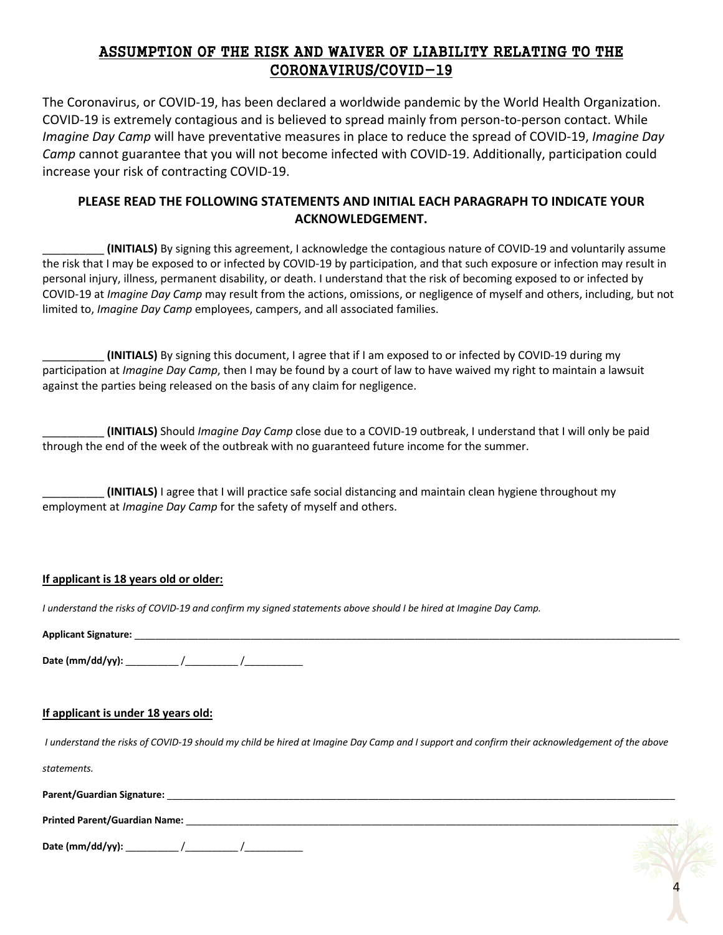# ASSUMPTION OF THE RISK AND WAIVER OF LIABILITY RELATING TO THE CORONAVIRUS/COVID-19

The Coronavirus, or COVID-19, has been declared a worldwide pandemic by the World Health Organization. COVID-19 is extremely contagious and is believed to spread mainly from person-to-person contact. While *Imagine Day Camp* will have preventative measures in place to reduce the spread of COVID-19, *Imagine Day Camp* cannot guarantee that you will not become infected with COVID-19. Additionally, participation could increase your risk of contracting COVID-19.

# **PLEASE READ THE FOLLOWING STATEMENTS AND INITIAL EACH PARAGRAPH TO INDICATE YOUR ACKNOWLEDGEMENT.**

\_\_\_\_\_\_\_\_\_\_ **(INITIALS)** By signing this agreement, I acknowledge the contagious nature of COVID-19 and voluntarily assume the risk that I may be exposed to or infected by COVID-19 by participation, and that such exposure or infection may result in personal injury, illness, permanent disability, or death. I understand that the risk of becoming exposed to or infected by COVID-19 at *Imagine Day Camp* may result from the actions, omissions, or negligence of myself and others, including, but not limited to, *Imagine Day Camp* employees, campers, and all associated families.

\_\_\_\_\_\_\_\_\_\_ **(INITIALS)** By signing this document, I agree that if I am exposed to or infected by COVID-19 during my participation at *Imagine Day Camp*, then I may be found by a court of law to have waived my right to maintain a lawsuit against the parties being released on the basis of any claim for negligence.

\_\_\_\_\_\_\_\_\_\_ **(INITIALS)** Should *Imagine Day Camp* close due to a COVID-19 outbreak, I understand that I will only be paid through the end of the week of the outbreak with no guaranteed future income for the summer.

\_\_\_\_\_\_\_\_\_\_ **(INITIALS)** I agree that I will practice safe social distancing and maintain clean hygiene throughout my employment at *Imagine Day Camp* for the safety of myself and others.

## **If applicant is 18 years old or older:**

*I understand the risks of COVID-19 and confirm my signed statements above should I be hired at Imagine Day Camp.*

| <b>Applicant Signature</b> |  |
|----------------------------|--|
|                            |  |

**Date (mm/dd/yy):** \_\_\_\_\_\_\_\_\_\_ /\_\_\_\_\_\_\_\_\_\_ /\_\_\_\_\_\_\_\_\_\_\_

# **If applicant is under 18 years old:**

*I understand the risks of COVID-19 should my child be hired at Imagine Day Camp and I support and confirm their acknowledgement of the above* 

*statements.*

Parent/Guardian Signature:

| <b>Printed Parent/Guardian Name:</b> |  |  |
|--------------------------------------|--|--|
|                                      |  |  |

**Date (mm/dd/yy):** \_\_\_\_\_\_\_\_\_\_ /\_\_\_\_\_\_\_\_\_\_ /\_\_\_\_\_\_\_\_\_\_\_